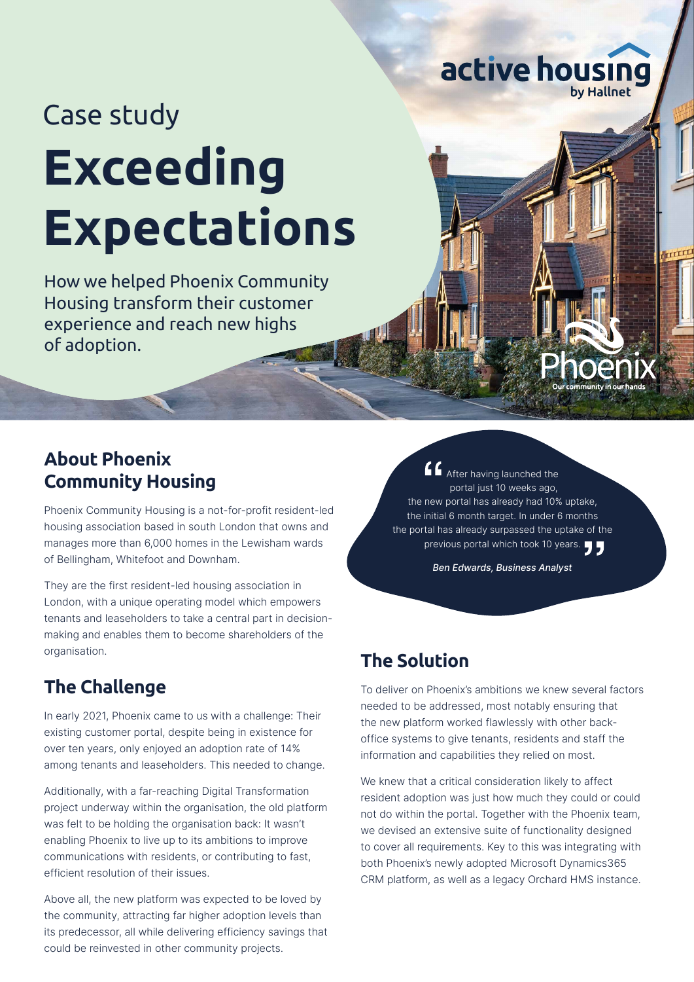# Case study **Exceeding Expectations**

How we helped Phoenix Community Housing transform their customer experience and reach new highs of adoption.

## **About Phoenix Community Housing**

Phoenix Community Housing is a not-for-profit resident-led housing association based in south London that owns and manages more than 6,000 homes in the Lewisham wards of Bellingham, Whitefoot and Downham.

They are the first resident-led housing association in London, with a unique operating model which empowers tenants and leaseholders to take a central part in decisionmaking and enables them to become shareholders of the organisation.

## **The Challenge**

In early 2021, Phoenix came to us with a challenge: Their existing customer portal, despite being in existence for over ten years, only enjoyed an adoption rate of 14% among tenants and leaseholders. This needed to change.

Additionally, with a far-reaching Digital Transformation project underway within the organisation, the old platform was felt to be holding the organisation back: It wasn't enabling Phoenix to live up to its ambitions to improve communications with residents, or contributing to fast, efficient resolution of their issues.

Above all, the new platform was expected to be loved by the community, attracting far higher adoption levels than its predecessor, all while delivering efficiency savings that could be reinvested in other community projects.

After having launched the portal just 10 weeks ago, the new portal has already had 10% uptake, the initial 6 month target. In under 6 months the portal has already surpassed the uptake of the previous portal which took 10 years.

active housing

Ben Edwards, Business Analyst

## **The Solution**

To deliver on Phoenix's ambitions we knew several factors needed to be addressed, most notably ensuring that the new platform worked flawlessly with other backoffice systems to give tenants, residents and staff the information and capabilities they relied on most.

We knew that a critical consideration likely to affect resident adoption was just how much they could or could not do within the portal. Together with the Phoenix team, we devised an extensive suite of functionality designed to cover all requirements. Key to this was integrating with both Phoenix's newly adopted Microsoft Dynamics365 CRM platform, as well as a legacy Orchard HMS instance.